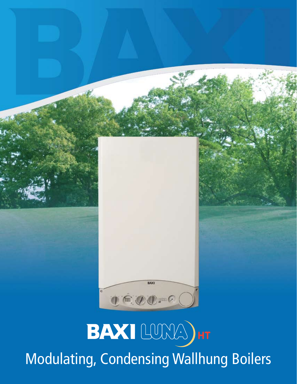

### BAXI LUMA)HT Modulating, Condensing Wallhung Boilers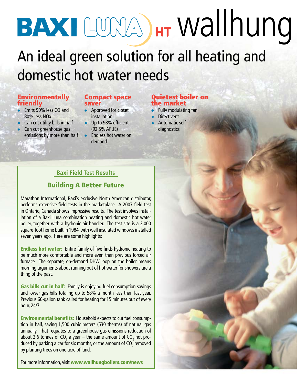## BAXI LUMA) HT Wallhung

### An ideal green solution for all heating and domestic hot water needs

#### **Environmentally** friendly

- $\bullet$  Emits 90% less CO and 80% less NOx
- $\triangle$  Can cut utility bills in half Can cut greenhouse gas
- emissions by more than half

#### Compact space saver

- $\leftrightarrow$  Approved for closet installation
- $\bullet$  Up to 98% efficient (92.5% AFUE)
- $\leftarrow$  Endless hot water on demand

#### Quietest boiler on the market

- $\bullet$  Fully modulating fan
- $\triangleright$  Direct vent
- $\triangleleft$  Automatic self diagnostics

#### **Baxi Field Test Results**

#### Building A Better Future

Marathon International, Baxi's exclusive North American distributor, performs extensive field tests in the marketplace. A 2007 field test in Ontario, Canada shows impressive results. The test involves installation of a Baxi Luna combination heating and domestic hot water boiler, together with a hydronic air handler. The test site is a 2,000 square-foot home built in 1984, with well insulated windows installed seven years ago. Here are some highlights:

Endless hot water: Entire family of five finds hydronic heating to be much more comfortable and more even than previous forced air furnace. The separate, on-demand DHW loop on the boiler means morning arguments about running out of hot water for showers are a thing of the past.

Gas bills cut in half: Family is enjoying fuel consumption savings and lower gas bills totaling up to 58% a month less than last year. Previous 60-gallon tank called for heating for 15 minutes out of every hour, 24/7.

Environmental benefits: Household expects to cut fuel consumption in half, saving 1,500 cubic meters (530 therms) of natural gas annually. That equates to a greenhouse gas emissions reduction of about 2.6 tonnes of CO<sub>2</sub> a year – the same amount of CO<sub>2</sub> not produced by parking a car for six months, or the amount of CO $_{\textrm{\tiny{2}}}$  removed by planting trees on one acre of land.

For more information, visit www.wallhungboilers.com/news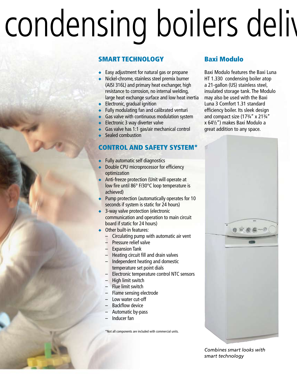# condensing boilers deliv

#### SMART TECHNOLOGY

- Easy adjustment for natural gas or propane
- Nickel-chrome, stainless steel premix burner (AISI 316L) and primary heat exchanger, high resistance to corrosion, no internal welding, large heat exchange surface and low heat inertia
- $\bullet$  Electronic, gradual ignition
- $\bullet$  Fully modulating fan and calibrated venturi
- Gas valve with continuous modulation system
- Electronic 3 way diverter valve
- Gas valve has 1:1 gas/air mechanical control
- Sealed combustion

#### CONTROL AND SAFETY SYSTEM\*

- Fully automatic self diagnostics
- Double CPU microprocessor for efficiency optimization
- Anti-freeze protection (Unit will operate at low fire until 86° F/30°C loop temperature is achieved)
- Pump protection (automatically operates for 10 seconds if system is static for 24 hours)
- 3-way valve protection (electronic communication and operation to main circuit board if static for 24 hours)
- $\bullet$  Other built-in features:
	- Circulating pump with automatic air vent
	- Pressure relief valve
	- Expansion Tank
	- Heating circuit fill and drain valves
	- Independent heating and domestic temperature set point dials
	- Electronic temperature control NTC sensors
	- High limit switch
	- Flue limit switch
	- Flame sensing electrode
	- Low water cut-off
	- Backflow device
	- Automatic by-pass
	- Inducer fan

\*Not all components are included with commercial units.

#### Baxi Modulo

Baxi Modulo features the Baxi Luna HT 1.330 condensing boiler atop a 21-gallon (US) stainless steel, insulated storage tank. The Modulo may also be used with the Baxi Luna 3 Comfort 1.31 standard efficiency boiler. Its sleek design and compact size (17¾" x 21¾" x 64½") makes Baxi Modulo a great addition to any space.



*Combines smart looks with smart technology*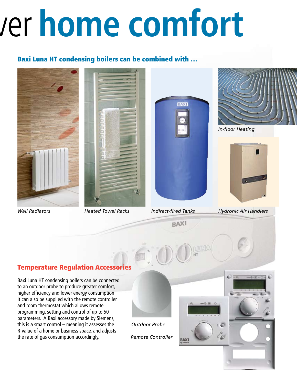## deliver **home comfort**

#### Baxi Luna HT condensing boilers can be combined with …







**RAXI** 

**BAXI** 



*In-floor Heating*



*Wall Radiators Heated Towel Racks Indirect-fired Tanks Hydronic Air Handlers*

#### Temperature Regulation Accessories

Baxi Luna HT condensing boilers can be connected to an outdoor probe to produce greater comfort, higher efficiency and lower energy consumption. It can also be supplied with the remote controller and room thermostat which allows remote programming, setting and control of up to 50 parameters. A Baxi accessory made by Siemens, this is a smart control – meaning it assesses the R-value of a home or business space, and adjusts the rate of gas consumption accordingly.



*Outdoor Probe*

*Remote Controller*



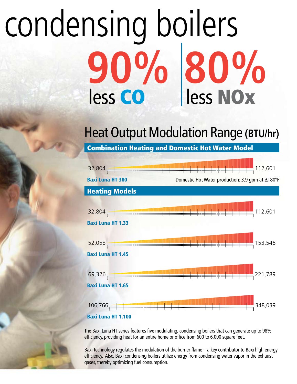## condensing boilers **90% 80%** less CO less NOx

### Heat Output Modulation Range **(BTU/hr)**

Combination Heating and Domestic Hot Water Model



The Baxi Luna HT series features five modulating, condensing boilers that can generate up to 98% efficiency, providing heat for an entire home or office from 600 to 6,000 square feet.

Baxi technology regulates the modulation of the burner flame – a key contributor to Baxi high energy efficiency. Also, Baxi condensing boilers utilize energy from condensing water vapor in the exhaust gases, thereby optimizing fuel consumption.